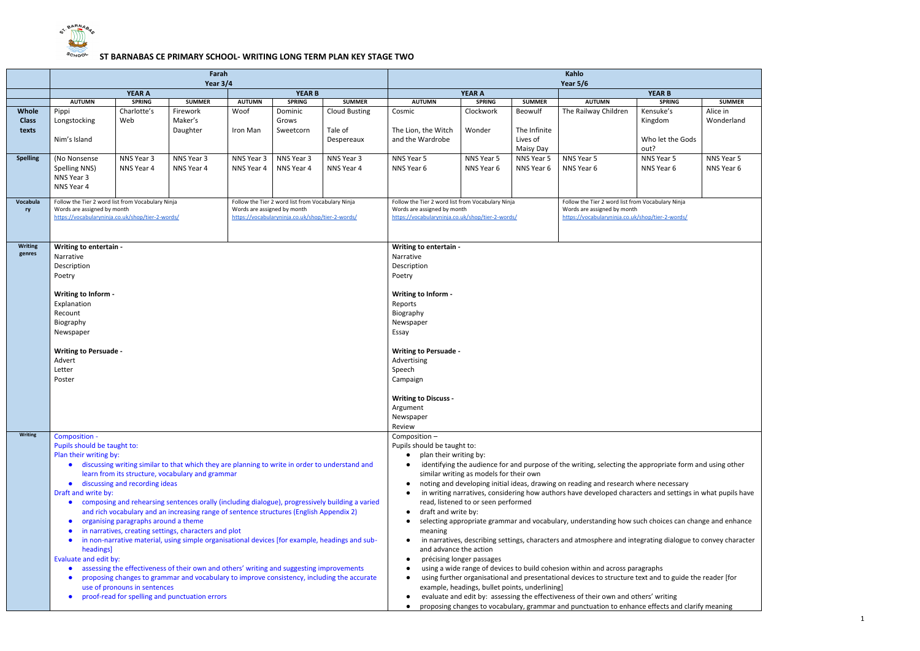

## **SCHOOL** ST BARNABAS CE PRIMARY SCHOOL- WRITING LONG TERM PLAN KEY STAGE TWO

| <b>SUMMER</b><br>Alice in |  |
|---------------------------|--|
| Wonderland                |  |
|                           |  |
|                           |  |
| <b>NNS Year 5</b>         |  |
| NNS Year 6                |  |
|                           |  |
|                           |  |
|                           |  |
|                           |  |
|                           |  |
|                           |  |
|                           |  |
|                           |  |
|                           |  |
|                           |  |
|                           |  |
|                           |  |
|                           |  |
|                           |  |
|                           |  |
|                           |  |
|                           |  |
|                           |  |
|                           |  |
|                           |  |
| and using other           |  |
|                           |  |
| in what pupils have       |  |
|                           |  |
| ange and enhance          |  |
| to convey character       |  |
|                           |  |
|                           |  |
| he reader [for            |  |
|                           |  |
| rify meaning              |  |
|                           |  |

|                 |                                                                                                                                                         | Farah                                |                                                                                                 |                             | Kahlo                                             |                      |                                                                                                            |                                         |               |                                                                                                           |                                |               |  |  |
|-----------------|---------------------------------------------------------------------------------------------------------------------------------------------------------|--------------------------------------|-------------------------------------------------------------------------------------------------|-----------------------------|---------------------------------------------------|----------------------|------------------------------------------------------------------------------------------------------------|-----------------------------------------|---------------|-----------------------------------------------------------------------------------------------------------|--------------------------------|---------------|--|--|
|                 |                                                                                                                                                         | Year $3/4$                           |                                                                                                 |                             | <b>Year 5/6</b>                                   |                      |                                                                                                            |                                         |               |                                                                                                           |                                |               |  |  |
|                 | <b>AUTUMN</b>                                                                                                                                           | <b>YEAR A</b><br><b>SPRING</b>       | <b>SUMMER</b>                                                                                   | <b>AUTUMN</b>               | <b>YEAR B</b><br><b>SPRING</b>                    | <b>SUMMER</b>        | <b>AUTUMN</b>                                                                                              | <b>YEAR A</b><br><b>SPRING</b>          | <b>SUMMER</b> | <b>AUTUMN</b>                                                                                             | <b>YEAR B</b><br><b>SPRING</b> | <b>SUMMER</b> |  |  |
| Whole           | Pippi                                                                                                                                                   | Charlotte's                          | Firework                                                                                        | Woof                        | Dominic                                           | <b>Cloud Busting</b> | Cosmic                                                                                                     | Clockwork                               | Beowulf       | The Railway Children                                                                                      | Kensuke's                      | Alice in      |  |  |
| <b>Class</b>    | Longstocking                                                                                                                                            | Web                                  | Maker's                                                                                         |                             | Grows                                             |                      |                                                                                                            |                                         |               |                                                                                                           | Kingdom                        | Wonderland    |  |  |
| texts           |                                                                                                                                                         |                                      | Daughter                                                                                        | Iron Man                    | Sweetcorn                                         | Tale of              | The Lion, the Witch                                                                                        | Wonder                                  | The Infinite  |                                                                                                           |                                |               |  |  |
|                 | Nim's Island                                                                                                                                            |                                      |                                                                                                 |                             |                                                   | Despereaux           | and the Wardrobe                                                                                           |                                         | Lives of      |                                                                                                           | Who let the Gods               |               |  |  |
|                 |                                                                                                                                                         |                                      |                                                                                                 |                             |                                                   |                      |                                                                                                            |                                         | Maisy Day     |                                                                                                           | out?                           |               |  |  |
| <b>Spelling</b> | (No Nonsense                                                                                                                                            | NNS Year 3                           | NNS Year 3                                                                                      | NNS Year 3                  | NNS Year 3                                        | NNS Year 3           | NNS Year 5                                                                                                 | NNS Year 5                              | NNS Year 5    | NNS Year 5                                                                                                | NNS Year 5                     | NNS Year 5    |  |  |
|                 | Spelling NNS)                                                                                                                                           | NNS Year 4                           | NNS Year 4                                                                                      | NNS Year 4                  | NNS Year 4                                        | NNS Year 4           | NNS Year 6                                                                                                 | NNS Year 6                              | NNS Year 6    | NNS Year 6                                                                                                | NNS Year 6                     | NNS Year 6    |  |  |
|                 | NNS Year 3                                                                                                                                              |                                      |                                                                                                 |                             |                                                   |                      |                                                                                                            |                                         |               |                                                                                                           |                                |               |  |  |
|                 | NNS Year 4                                                                                                                                              |                                      |                                                                                                 |                             |                                                   |                      |                                                                                                            |                                         |               |                                                                                                           |                                |               |  |  |
| Vocabula        | Follow the Tier 2 word list from Vocabulary Ninja                                                                                                       |                                      |                                                                                                 |                             | Follow the Tier 2 word list from Vocabulary Ninja |                      | Follow the Tier 2 word list from Vocabulary Ninja                                                          |                                         |               | Follow the Tier 2 word list from Vocabulary Ninja                                                         |                                |               |  |  |
| ry              | Words are assigned by month                                                                                                                             |                                      |                                                                                                 | Words are assigned by month |                                                   |                      | Words are assigned by month                                                                                |                                         |               | Words are assigned by month                                                                               |                                |               |  |  |
|                 | https://vocabularyninja.co.uk/shop/tier-2-words/                                                                                                        |                                      |                                                                                                 |                             | https://vocabularyninja.co.uk/shop/tier-2-words/  |                      | https://vocabularyninja.co.uk/shop/tier-2-words/                                                           |                                         |               | https://vocabularyninja.co.uk/shop/tier-2-words/                                                          |                                |               |  |  |
|                 |                                                                                                                                                         |                                      |                                                                                                 |                             |                                                   |                      |                                                                                                            |                                         |               |                                                                                                           |                                |               |  |  |
| Writing         | Writing to entertain -                                                                                                                                  |                                      |                                                                                                 |                             |                                                   |                      | Writing to entertain -                                                                                     |                                         |               |                                                                                                           |                                |               |  |  |
| genres          | Narrative                                                                                                                                               |                                      |                                                                                                 |                             | Narrative                                         |                      |                                                                                                            |                                         |               |                                                                                                           |                                |               |  |  |
|                 | Description                                                                                                                                             |                                      |                                                                                                 | Description                 |                                                   |                      |                                                                                                            |                                         |               |                                                                                                           |                                |               |  |  |
|                 | Poetry                                                                                                                                                  |                                      |                                                                                                 |                             |                                                   |                      | Poetry                                                                                                     |                                         |               |                                                                                                           |                                |               |  |  |
|                 |                                                                                                                                                         |                                      |                                                                                                 |                             |                                                   |                      |                                                                                                            |                                         |               |                                                                                                           |                                |               |  |  |
|                 | Writing to Inform -                                                                                                                                     |                                      |                                                                                                 |                             | Writing to Inform -                               |                      |                                                                                                            |                                         |               |                                                                                                           |                                |               |  |  |
|                 | Explanation                                                                                                                                             |                                      |                                                                                                 |                             |                                                   |                      | Reports                                                                                                    |                                         |               |                                                                                                           |                                |               |  |  |
|                 | Recount                                                                                                                                                 |                                      |                                                                                                 |                             |                                                   |                      | Biography                                                                                                  |                                         |               |                                                                                                           |                                |               |  |  |
|                 | Biography                                                                                                                                               |                                      |                                                                                                 |                             |                                                   |                      | Newspaper                                                                                                  |                                         |               |                                                                                                           |                                |               |  |  |
|                 | Newspaper                                                                                                                                               |                                      |                                                                                                 |                             |                                                   |                      | Essay                                                                                                      |                                         |               |                                                                                                           |                                |               |  |  |
|                 | <b>Writing to Persuade -</b>                                                                                                                            |                                      |                                                                                                 |                             |                                                   |                      | <b>Writing to Persuade -</b>                                                                               |                                         |               |                                                                                                           |                                |               |  |  |
|                 | Advert                                                                                                                                                  |                                      |                                                                                                 |                             |                                                   |                      | Advertising                                                                                                |                                         |               |                                                                                                           |                                |               |  |  |
|                 | Letter                                                                                                                                                  |                                      |                                                                                                 | Speech                      |                                                   |                      |                                                                                                            |                                         |               |                                                                                                           |                                |               |  |  |
|                 | Poster                                                                                                                                                  |                                      |                                                                                                 |                             | Campaign                                          |                      |                                                                                                            |                                         |               |                                                                                                           |                                |               |  |  |
|                 |                                                                                                                                                         |                                      |                                                                                                 |                             | <b>Writing to Discuss -</b>                       |                      |                                                                                                            |                                         |               |                                                                                                           |                                |               |  |  |
|                 |                                                                                                                                                         |                                      |                                                                                                 |                             | Argument                                          |                      |                                                                                                            |                                         |               |                                                                                                           |                                |               |  |  |
|                 |                                                                                                                                                         |                                      |                                                                                                 |                             | Newspaper                                         |                      |                                                                                                            |                                         |               |                                                                                                           |                                |               |  |  |
| <b>Writing</b>  |                                                                                                                                                         |                                      |                                                                                                 |                             |                                                   |                      | Review                                                                                                     |                                         |               |                                                                                                           |                                |               |  |  |
|                 | Composition -<br>Pupils should be taught to:                                                                                                            |                                      |                                                                                                 |                             |                                                   |                      | Composition-<br>Pupils should be taught to:                                                                |                                         |               |                                                                                                           |                                |               |  |  |
|                 | Plan their writing by:                                                                                                                                  |                                      |                                                                                                 |                             |                                                   |                      | plan their writing by:                                                                                     |                                         |               |                                                                                                           |                                |               |  |  |
|                 | $\bullet$                                                                                                                                               |                                      | discussing writing similar to that which they are planning to write in order to understand and  |                             |                                                   |                      |                                                                                                            |                                         |               | identifying the audience for and purpose of the writing, selecting the appropriate form and using other   |                                |               |  |  |
|                 |                                                                                                                                                         |                                      | learn from its structure, vocabulary and grammar                                                |                             |                                                   |                      |                                                                                                            | similar writing as models for their own |               |                                                                                                           |                                |               |  |  |
|                 | $\bullet$                                                                                                                                               | discussing and recording ideas       |                                                                                                 |                             |                                                   |                      |                                                                                                            |                                         |               | noting and developing initial ideas, drawing on reading and research where necessary                      |                                |               |  |  |
|                 | Draft and write by:                                                                                                                                     |                                      |                                                                                                 |                             |                                                   |                      |                                                                                                            |                                         |               | in writing narratives, considering how authors have developed characters and settings in what pupils have |                                |               |  |  |
|                 |                                                                                                                                                         |                                      | composing and rehearsing sentences orally (including dialogue), progressively building a varied |                             |                                                   |                      |                                                                                                            | read, listened to or seen performed     |               |                                                                                                           |                                |               |  |  |
|                 |                                                                                                                                                         |                                      | and rich vocabulary and an increasing range of sentence structures (English Appendix 2)         |                             |                                                   |                      | draft and write by:<br>$\bullet$                                                                           |                                         |               |                                                                                                           |                                |               |  |  |
|                 | $\bullet$                                                                                                                                               | organising paragraphs around a theme |                                                                                                 |                             |                                                   |                      | meaning                                                                                                    |                                         |               | selecting appropriate grammar and vocabulary, understanding how such choices can change and enhance       |                                |               |  |  |
|                 | in narratives, creating settings, characters and plot<br>in non-narrative material, using simple organisational devices [for example, headings and sub- |                                      |                                                                                                 |                             |                                                   |                      | in narratives, describing settings, characters and atmosphere and integrating dialogue to convey character |                                         |               |                                                                                                           |                                |               |  |  |
|                 | headings]                                                                                                                                               |                                      |                                                                                                 |                             |                                                   |                      | and advance the action                                                                                     |                                         |               |                                                                                                           |                                |               |  |  |
|                 | Evaluate and edit by:                                                                                                                                   |                                      |                                                                                                 |                             |                                                   |                      |                                                                                                            | précising longer passages               |               |                                                                                                           |                                |               |  |  |
|                 |                                                                                                                                                         |                                      | assessing the effectiveness of their own and others' writing and suggesting improvements        |                             |                                                   |                      |                                                                                                            |                                         |               | using a wide range of devices to build cohesion within and across paragraphs                              |                                |               |  |  |
|                 |                                                                                                                                                         |                                      | proposing changes to grammar and vocabulary to improve consistency, including the accurate      |                             |                                                   |                      | using further organisational and presentational devices to structure text and to guide the reader [for     |                                         |               |                                                                                                           |                                |               |  |  |
|                 | use of pronouns in sentences                                                                                                                            |                                      |                                                                                                 |                             | example, headings, bullet points, underlining]    |                      |                                                                                                            |                                         |               |                                                                                                           |                                |               |  |  |
|                 | $\bullet$                                                                                                                                               |                                      | proof-read for spelling and punctuation errors                                                  |                             |                                                   |                      |                                                                                                            |                                         |               | evaluate and edit by: assessing the effectiveness of their own and others' writing                        |                                |               |  |  |
|                 |                                                                                                                                                         |                                      |                                                                                                 |                             |                                                   |                      |                                                                                                            |                                         |               | proposing changes to vocabulary, grammar and punctuation to enhance effects and clarify meaning           |                                |               |  |  |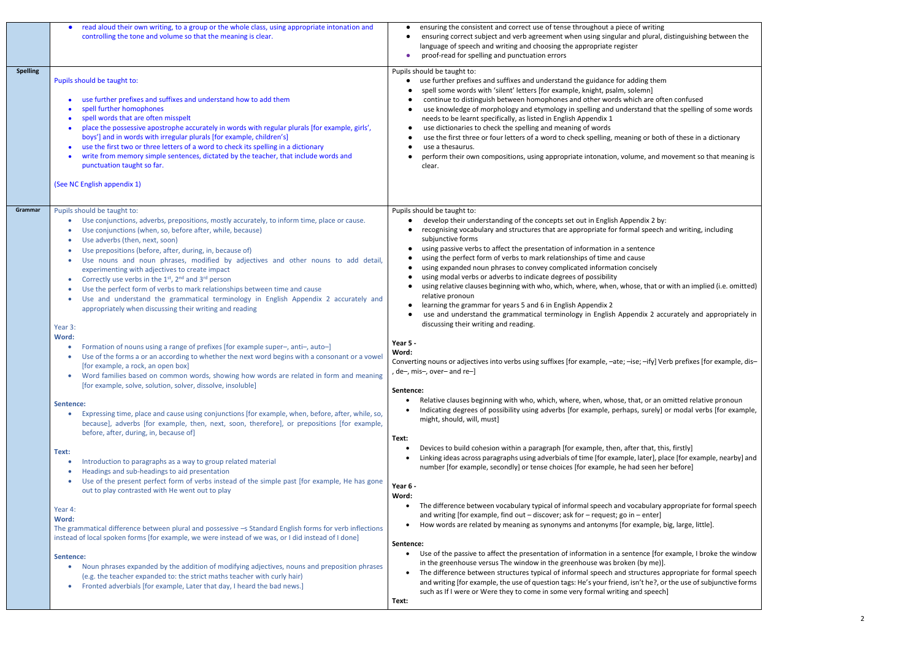|                 | read aloud their own writing, to a group or the whole class, using appropriate intonation and<br>$\bullet$<br>controlling the tone and volume so that the meaning is clear.                                                                                                                                                                                                                                                                                                                                                                                                                                                                                                                                                                                                                                                                                                                                                                                                                              | ensuring the consistent and correct use of tense throughout a piece of writing<br>ensuring correct subject and verb agreement when using singular and plural, distinguishing between the<br>language of speech and writing and choosing the appropriate register<br>proof-read for spelling and punctuation errors                                                                                                                                                                                                                                                                                                                                                                                                                                                                                                                                                                                                                                                                                                                                                                     |
|-----------------|----------------------------------------------------------------------------------------------------------------------------------------------------------------------------------------------------------------------------------------------------------------------------------------------------------------------------------------------------------------------------------------------------------------------------------------------------------------------------------------------------------------------------------------------------------------------------------------------------------------------------------------------------------------------------------------------------------------------------------------------------------------------------------------------------------------------------------------------------------------------------------------------------------------------------------------------------------------------------------------------------------|----------------------------------------------------------------------------------------------------------------------------------------------------------------------------------------------------------------------------------------------------------------------------------------------------------------------------------------------------------------------------------------------------------------------------------------------------------------------------------------------------------------------------------------------------------------------------------------------------------------------------------------------------------------------------------------------------------------------------------------------------------------------------------------------------------------------------------------------------------------------------------------------------------------------------------------------------------------------------------------------------------------------------------------------------------------------------------------|
| <b>Spelling</b> | Pupils should be taught to:<br>use further prefixes and suffixes and understand how to add them<br>spell further homophones<br>spell words that are often misspelt<br>place the possessive apostrophe accurately in words with regular plurals [for example, girls',<br>boys'] and in words with irregular plurals [for example, children's]<br>use the first two or three letters of a word to check its spelling in a dictionary<br>write from memory simple sentences, dictated by the teacher, that include words and<br>punctuation taught so far.<br>(See NC English appendix 1)                                                                                                                                                                                                                                                                                                                                                                                                                   | Pupils should be taught to:<br>use further prefixes and suffixes and understand the guidance for adding them<br>spell some words with 'silent' letters [for example, knight, psalm, solemn]<br>continue to distinguish between homophones and other words which are often confused<br>use knowledge of morphology and etymology in spelling and understand that the spelling of some words<br>needs to be learnt specifically, as listed in English Appendix 1<br>use dictionaries to check the spelling and meaning of words<br>use the first three or four letters of a word to check spelling, meaning or both of these in a dictionary<br>use a thesaurus.<br>perform their own compositions, using appropriate intonation, volume, and movement so that meaning is<br>clear.                                                                                                                                                                                                                                                                                                      |
| Grammar         | Pupils should be taught to:<br>Use conjunctions, adverbs, prepositions, mostly accurately, to inform time, place or cause.<br>Use conjunctions (when, so, before after, while, because)<br>Use adverbs (then, next, soon)<br>Use prepositions (before, after, during, in, because of)<br>Use nouns and noun phrases, modified by adjectives and other nouns to add detail,<br>$\bullet$<br>experimenting with adjectives to create impact<br>Correctly use verbs in the 1st, 2nd and 3rd person<br>$\bullet$<br>Use the perfect form of verbs to mark relationships between time and cause<br>Use and understand the grammatical terminology in English Appendix 2 accurately and<br>$\bullet$<br>appropriately when discussing their writing and reading<br>Year 3:<br>Word:<br>Formation of nouns using a range of prefixes [for example super-, anti-, auto-]<br>Use of the forms a or an according to whether the next word begins with a consonant or a vowel<br>[for example, a rock, an open box] | Pupils should be taught to:<br>develop their understanding of the concepts set out in English Appendix 2 by:<br>recognising vocabulary and structures that are appropriate for formal speech and writing, including<br>subjunctive forms<br>using passive verbs to affect the presentation of information in a sentence<br>using the perfect form of verbs to mark relationships of time and cause<br>using expanded noun phrases to convey complicated information concisely<br>using modal verbs or adverbs to indicate degrees of possibility<br>using relative clauses beginning with who, which, where, when, whose, that or with an implied (i.e. omitted)<br>relative pronoun<br>learning the grammar for years 5 and 6 in English Appendix 2<br>use and understand the grammatical terminology in English Appendix 2 accurately and appropriately in<br>discussing their writing and reading.<br>Year 5 -<br>Word:<br>Converting nouns or adjectives into verbs using suffixes [for example, -ate; -ise; -ify] Verb prefixes [for example, dis-<br>, de−, mis−, over− and re−] |
|                 | Word families based on common words, showing how words are related in form and meaning<br>$\bullet$<br>[for example, solve, solution, solver, dissolve, insoluble]<br>Sentence:<br>Expressing time, place and cause using conjunctions [for example, when, before, after, while, so,<br>$\bullet$<br>because], adverbs [for example, then, next, soon, therefore], or prepositions [for example,<br>before, after, during, in, because of]<br>Text:<br>Introduction to paragraphs as a way to group related material<br>Headings and sub-headings to aid presentation                                                                                                                                                                                                                                                                                                                                                                                                                                    | Sentence:<br>Relative clauses beginning with who, which, where, when, whose, that, or an omitted relative pronoun<br>Indicating degrees of possibility using adverbs [for example, perhaps, surely] or modal verbs [for example,<br>might, should, will, must]<br>Text:<br>Devices to build cohesion within a paragraph [for example, then, after that, this, firstly]<br>Linking ideas across paragraphs using adverbials of time [for example, later], place [for example, nearby] and<br>number [for example, secondly] or tense choices [for example, he had seen her before]                                                                                                                                                                                                                                                                                                                                                                                                                                                                                                      |
|                 | Use of the present perfect form of verbs instead of the simple past [for example, He has gone<br>$\bullet$<br>out to play contrasted with He went out to play<br>Year 4:<br>Word:<br>The grammatical difference between plural and possessive -s Standard English forms for verb inflections<br>instead of local spoken forms [for example, we were instead of we was, or I did instead of I done]<br>Sentence:<br>Noun phrases expanded by the addition of modifying adjectives, nouns and preposition phrases<br>$\bullet$<br>(e.g. the teacher expanded to: the strict maths teacher with curly hair)<br>Fronted adverbials [for example, Later that day, I heard the bad news.]<br>$\bullet$                                                                                                                                                                                                                                                                                                         | Year 6 -<br>Word:<br>The difference between vocabulary typical of informal speech and vocabulary appropriate for formal speech<br>and writing [for example, find out - discover; ask for - request; go in - enter]<br>How words are related by meaning as synonyms and antonyms [for example, big, large, little].<br>Sentence:<br>• Use of the passive to affect the presentation of information in a sentence [for example, I broke the window<br>in the greenhouse versus The window in the greenhouse was broken (by me)].<br>The difference between structures typical of informal speech and structures appropriate for formal speech<br>and writing [for example, the use of question tags: He's your friend, isn't he?, or the use of subjunctive forms<br>such as If I were or Were they to come in some very formal writing and speech]<br>Text:                                                                                                                                                                                                                             |

## shing between the